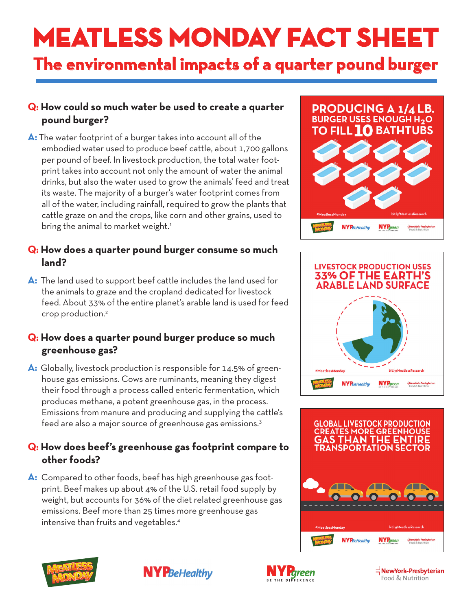# **MEATLESS MONDAY FACT SHEET**

# **The environmental impacts of a quarter pound burger**

## **Q: How could so much water be used to create a quarter pound burger?**

**A:** The water footprint of a burger takes into account all of the embodied water used to produce beef cattle, about 1,700 gallons per pound of beef. In livestock production, the total water footprint takes into account not only the amount of water the animal drinks, but also the water used to grow the animals' feed and treat its waste. The majority of a burger's water footprint comes from all of the water, including rainfall, required to grow the plants that cattle graze on and the crops, like corn and other grains, used to bring the animal to market weight. $1$ 

#### **Q: How does a quarter pound burger consume so much land?**

**A:** The land used to support beef cattle includes the land used for the animals to graze and the cropland dedicated for livestock feed. About 33% of the entire planet's arable land is used for feed crop production.2

### **Q: How does a quarter pound burger produce so much greenhouse gas?**

**A:** Globally, livestock production is responsible for 14.5% of greenhouse gas emissions. Cows are ruminants, meaning they digest their food through a process called enteric fermentation, which produces methane, a potent greenhouse gas, in the process. Emissions from manure and producing and supplying the cattle's feed are also a major source of greenhouse gas emissions.<sup>3</sup>

## **Q: How does beef's greenhouse gas footprint compare to other foods?**

**A:** Compared to other foods, beef has high greenhouse gas footprint. Beef makes up about 4% of the U.S. retail food supply by weight, but accounts for 36% of the diet related greenhouse gas emissions. Beef more than 25 times more greenhouse gas intensive than fruits and vegetables.4













NewYork-Presbyterian Food & Nutrition